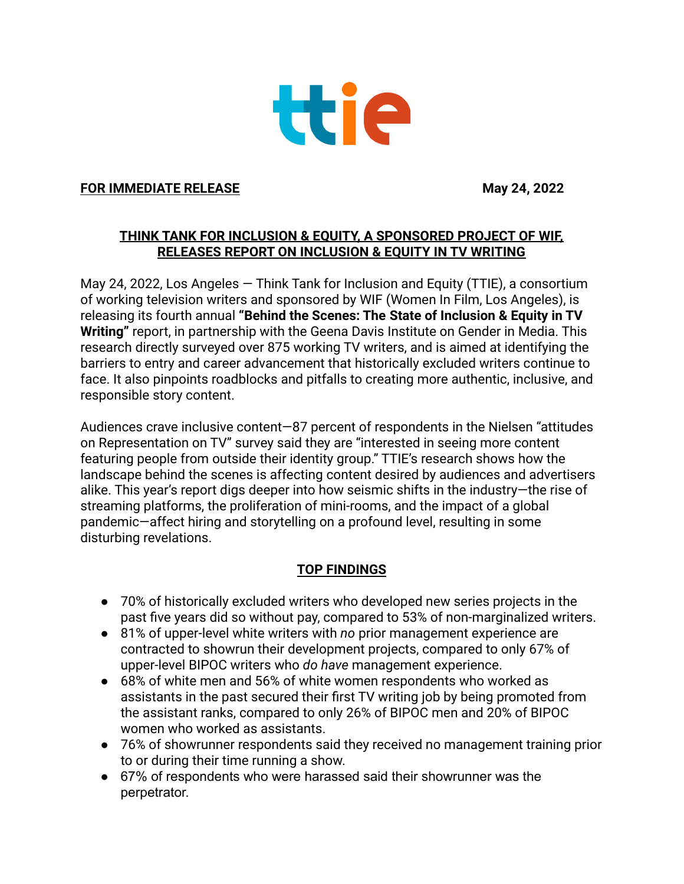

### **FOR IMMEDIATE RELEASE May 24, 2022**

## **THINK TANK FOR INCLUSION & EQUITY, A SPONSORED PROJECT OF WIF, RELEASES REPORT ON INCLUSION & EQUITY IN TV WRITING**

May 24, 2022, Los Angeles — Think Tank for Inclusion and Equity (TTIE), a consortium of working television writers and sponsored by WIF (Women In Film, Los Angeles), is releasing its fourth annual **"Behind the Scenes: The State of Inclusion & Equity in TV Writing"** report, in partnership with the Geena Davis Institute on Gender in Media. This research directly surveyed over 875 working TV writers, and is aimed at identifying the barriers to entry and career advancement that historically excluded writers continue to face. It also pinpoints roadblocks and pitfalls to creating more authentic, inclusive, and responsible story content.

Audiences crave inclusive content—87 percent of respondents in the Nielsen "attitudes on Representation on TV" survey said they are "interested in seeing more content featuring people from outside their identity group." TTIE's research shows how the landscape behind the scenes is affecting content desired by audiences and advertisers alike. This year's report digs deeper into how seismic shifts in the industry—the rise of streaming platforms, the proliferation of mini-rooms, and the impact of a global pandemic—affect hiring and storytelling on a profound level, resulting in some disturbing revelations.

## **TOP FINDINGS**

- 70% of historically excluded writers who developed new series projects in the past five years did so without pay, compared to 53% of non-marginalized writers.
- 81% of upper-level white writers with *no* prior management experience are contracted to showrun their development projects, compared to only 67% of upper-level BIPOC writers who *do have* management experience.
- 68% of white men and 56% of white women respondents who worked as assistants in the past secured their first TV writing job by being promoted from the assistant ranks, compared to only 26% of BIPOC men and 20% of BIPOC women who worked as assistants.
- 76% of showrunner respondents said they received no management training prior to or during their time running a show.
- 67% of respondents who were harassed said their showrunner was the perpetrator.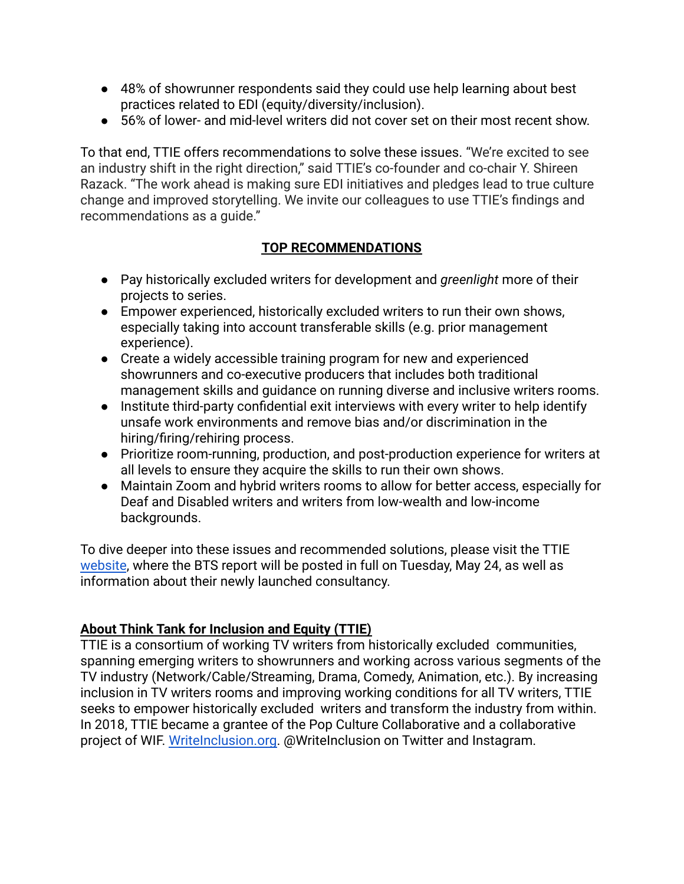- 48% of showrunner respondents said they could use help learning about best practices related to EDI (equity/diversity/inclusion).
- 56% of lower- and mid-level writers did not cover set on their most recent show.

To that end, TTIE offers recommendations to solve these issues. "We're excited to see an industry shift in the right direction," said TTIE's co-founder and co-chair Y. Shireen Razack. "The work ahead is making sure EDI initiatives and pledges lead to true culture change and improved storytelling. We invite our colleagues to use TTIE's findings and recommendations as a guide."

## **TOP RECOMMENDATIONS**

- Pay historically excluded writers for development and *greenlight* more of their projects to series.
- Empower experienced, historically excluded writers to run their own shows, especially taking into account transferable skills (e.g. prior management experience).
- Create a widely accessible training program for new and experienced showrunners and co-executive producers that includes both traditional management skills and guidance on running diverse and inclusive writers rooms.
- Institute third-party confidential exit interviews with every writer to help identify unsafe work environments and remove bias and/or discrimination in the hiring/firing/rehiring process.
- Prioritize room-running, production, and post-production experience for writers at all levels to ensure they acquire the skills to run their own shows.
- Maintain Zoom and hybrid writers rooms to allow for better access, especially for Deaf and Disabled writers and writers from low-wealth and low-income backgrounds.

To dive deeper into these issues and recommended solutions, please visit the TTIE [website](https://www.writeinclusion.org/), where the BTS report will be posted in full on Tuesday, May 24, as well as information about their newly launched consultancy.

# **About Think Tank for Inclusion and Equity (TTIE)**

TTIE is a consortium of working TV writers from historically excluded communities, spanning emerging writers to showrunners and working across various segments of the TV industry (Network/Cable/Streaming, Drama, Comedy, Animation, etc.). By increasing inclusion in TV writers rooms and improving working conditions for all TV writers, TTIE seeks to empower historically excluded writers and transform the industry from within. In 2018, TTIE became a grantee of the Pop Culture Collaborative and a collaborative project of WIF. [WriteInclusion.org.](https://www.writeinclusion.org/) @WriteInclusion on Twitter and Instagram.